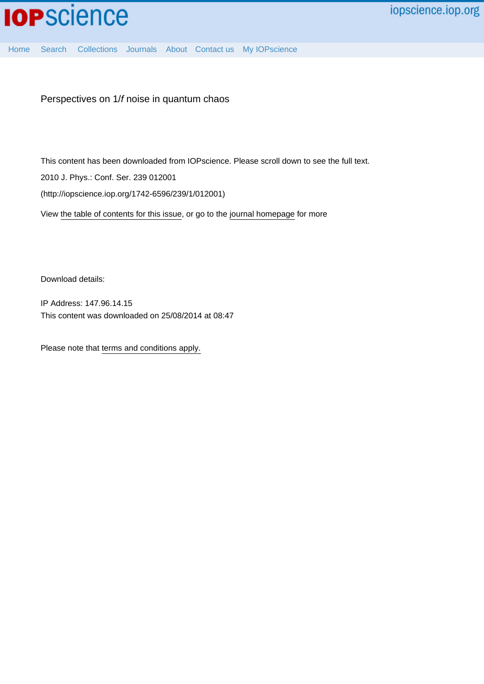

[Home](http://iopscience.iop.org/) [Search](http://iopscience.iop.org/search) [Collections](http://iopscience.iop.org/collections) [Journals](http://iopscience.iop.org/journals) [About](http://iopscience.iop.org/page/aboutioppublishing) [Contact us](http://iopscience.iop.org/contact) [My IOPscience](http://iopscience.iop.org/myiopscience)

Perspectives on 1/f noise in quantum chaos

This content has been downloaded from IOPscience. Please scroll down to see the full text.

2010 J. Phys.: Conf. Ser. 239 012001

(http://iopscience.iop.org/1742-6596/239/1/012001)

View [the table of contents for this issue](http://iopscience.iop.org/1742-6596/239/1), or go to the [journal homepage](http://iopscience.iop.org/1742-6596) for more

Download details:

IP Address: 147.96.14.15 This content was downloaded on 25/08/2014 at 08:47

Please note that [terms and conditions apply.](iopscience.iop.org/page/terms)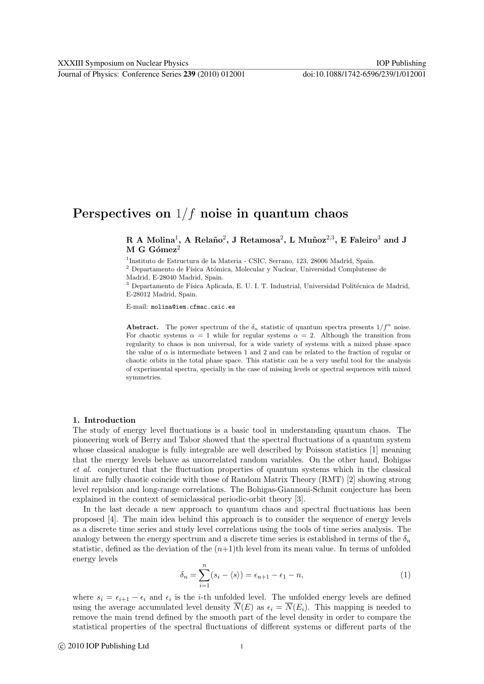# Perspectives on  $1/f$  noise in quantum chaos

R A Molina<sup>1</sup>, A Relaño<sup>2</sup>, J Retamosa<sup>2</sup>, L Muñoz<sup>2,3</sup>, E Faleiro<sup>3</sup> and J  $M$  G Gómez<sup>2</sup>

<sup>1</sup>Instituto de Estructura de la Materia - CSIC, Serrano, 123, 28006 Madrid, Spain.

 $^{\rm 2}$  Departamento de Física Atómica, Molecular y Nuclear, Universidad Complutense de Madrid, E-28040 Madrid, Spain.

<sup>3</sup> Departamento de Física Aplicada, E. U. I. T. Industrial, Universidad Politécnica de Madrid, E-28012 Madrid, Spain.

E-mail: molina@iem.cfmac.csic.es

Abstract. The power spectrum of the  $\delta_n$  statistic of quantum spectra presents  $1/f^\alpha$  noise. For chaotic systems  $\alpha = 1$  while for regular systems  $\alpha = 2$ . Although the transition from regularity to chaos is non universal, for a wide variety of systems with a mixed phase space the value of  $\alpha$  is intermediate between 1 and 2 and can be related to the fraction of regular or chaotic orbits in the total phase space. This statistic can be a very useful tool for the analysis of experimental spectra, specially in the case of missing levels or spectral sequences with mixed symmetries.

#### 1. Introduction

The study of energy level fluctuations is a basic tool in understanding quantum chaos. The pioneering work of Berry and Tabor showed that the spectral fluctuations of a quantum system whose classical analogue is fully integrable are well described by Poisson statistics [1] meaning that the energy levels behave as uncorrelated random variables. On the other hand, Bohigas et al. conjectured that the fluctuation properties of quantum systems which in the classical limit are fully chaotic coincide with those of Random Matrix Theory (RMT) [2] showing strong level repulsion and long-range correlations. The Bohigas-Giannoni-Schmit conjecture has been explained in the context of semiclassical periodic-orbit theory [3].

In the last decade a new approach to quantum chaos and spectral fluctuations has been proposed [4]. The main idea behind this approach is to consider the sequence of energy levels as a discrete time series and study level correlations using the tools of time series analysis. The analogy between the energy spectrum and a discrete time series is established in terms of the  $\delta_n$ statistic, defined as the deviation of the  $(n+1)$ th level from its mean value. In terms of unfolded energy levels

$$
\delta_n = \sum_{i=1}^n (s_i - \langle s \rangle) = \epsilon_{n+1} - \epsilon_1 - n,\tag{1}
$$

where  $s_i = \epsilon_{i+1} - \epsilon_i$  and  $\epsilon_i$  is the *i*-th unfolded level. The unfolded energy levels are defined using the average accumulated level density  $\overline{N}(E)$  as  $\epsilon_i = \overline{N}(E_i)$ . This mapping is needed to remove the main trend defined by the smooth part of the level density in order to compare the statistical properties of the spectral fluctuations of different systems or different parts of the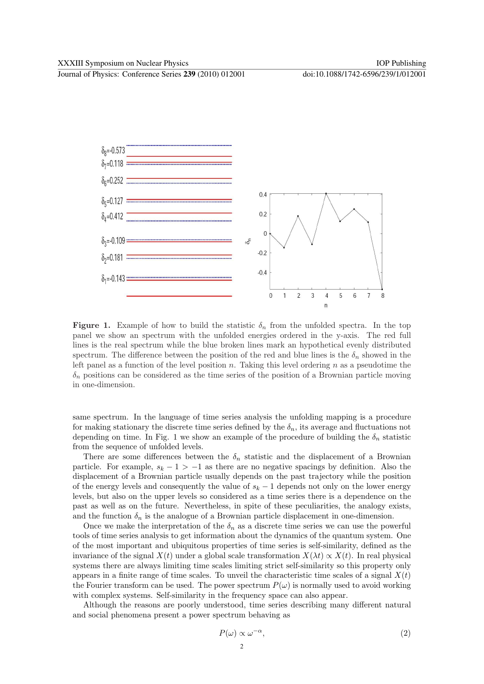Journal of Physics: Conference Series **239** (2010) 012001 doi:10.1088/1742-6596/239/1/012001



**Figure 1.** Example of how to build the statistic  $\delta_n$  from the unfolded spectra. In the top panel we show an spectrum with the unfolded energies ordered in the y-axis. The red full lines is the real spectrum while the blue broken lines mark an hypothetical evenly distributed spectrum. The difference between the position of the red and blue lines is the  $\delta_n$  showed in the left panel as a function of the level position  $n$ . Taking this level ordering  $n$  as a pseudotime the  $\delta_n$  positions can be considered as the time series of the position of a Brownian particle moving in one-dimension.

same spectrum. In the language of time series analysis the unfolding mapping is a procedure for making stationary the discrete time series defined by the  $\delta_n$ , its average and fluctuations not depending on time. In Fig. 1 we show an example of the procedure of building the  $\delta_n$  statistic from the sequence of unfolded levels.

There are some differences between the  $\delta_n$  statistic and the displacement of a Brownian particle. For example,  $s_k - 1 > -1$  as there are no negative spacings by definition. Also the displacement of a Brownian particle usually depends on the past trajectory while the position of the energy levels and consequently the value of  $s_k - 1$  depends not only on the lower energy levels, but also on the upper levels so considered as a time series there is a dependence on the past as well as on the future. Nevertheless, in spite of these peculiarities, the analogy exists, and the function  $\delta_n$  is the analogue of a Brownian particle displacement in one-dimension.

Once we make the interpretation of the  $\delta_n$  as a discrete time series we can use the powerful tools of time series analysis to get information about the dynamics of the quantum system. One of the most important and ubiquitous properties of time series is self-similarity, defined as the invariance of the signal  $X(t)$  under a global scale transformation  $X(\lambda t) \propto X(t)$ . In real physical systems there are always limiting time scales limiting strict self-similarity so this property only appears in a finite range of time scales. To unveil the characteristic time scales of a signal  $X(t)$ the Fourier transform can be used. The power spectrum  $P(\omega)$  is normally used to avoid working with complex systems. Self-similarity in the frequency space can also appear.

Although the reasons are poorly understood, time series describing many different natural and social phenomena present a power spectrum behaving as

$$
P(\omega) \propto \omega^{-\alpha},\tag{2}
$$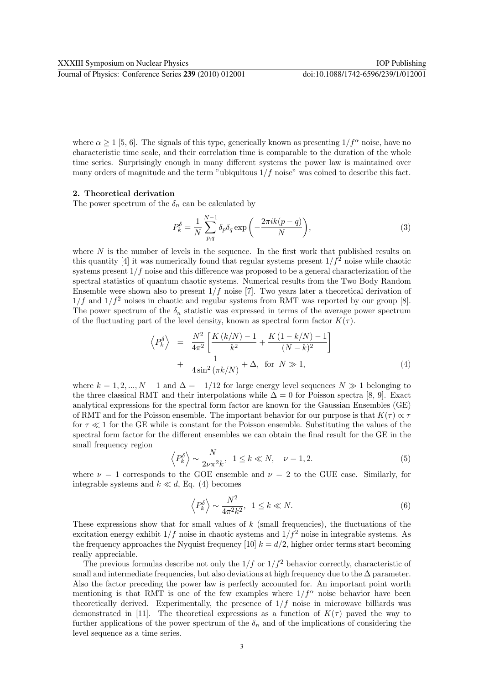where  $\alpha \geq 1$  [5, 6]. The signals of this type, generically known as presenting  $1/f^{\alpha}$  noise, have no characteristic time scale, and their correlation time is comparable to the duration of the whole time series. Surprisingly enough in many different systems the power law is maintained over many orders of magnitude and the term "ubiquitous  $1/f$  noise" was coined to describe this fact.

#### 2. Theoretical derivation

The power spectrum of the  $\delta_n$  can be calculated by

$$
P_k^{\delta} = \frac{1}{N} \sum_{p,q}^{N-1} \delta_p \delta_q \exp\left(-\frac{2\pi i k(p-q)}{N}\right),\tag{3}
$$

where  $N$  is the number of levels in the sequence. In the first work that published results on this quantity [4] it was numerically found that regular systems present  $1/f<sup>2</sup>$  noise while chaotic systems present  $1/f$  noise and this difference was proposed to be a general characterization of the spectral statistics of quantum chaotic systems. Numerical results from the Two Body Random Ensemble were shown also to present  $1/f$  noise [7]. Two years later a theoretical derivation of  $1/f$  and  $1/f^2$  noises in chaotic and regular systems from RMT was reported by our group [8]. The power spectrum of the  $\delta_n$  statistic was expressed in terms of the average power spectrum of the fluctuating part of the level density, known as spectral form factor  $K(\tau)$ .

$$
\left\langle P_k^{\delta} \right\rangle = \frac{N^2}{4\pi^2} \left[ \frac{K(k/N) - 1}{k^2} + \frac{K(1 - k/N) - 1}{(N - k)^2} \right] + \frac{1}{4\sin^2(\pi k/N)} + \Delta, \text{ for } N \gg 1,
$$
\n(4)

where  $k = 1, 2, ..., N - 1$  and  $\Delta = -1/12$  for large energy level sequences  $N \gg 1$  belonging to the three classical RMT and their interpolations while  $\Delta = 0$  for Poisson spectra [8, 9]. Exact analytical expressions for the spectral form factor are known for the Gaussian Ensembles (GE) of RMT and for the Poisson ensemble. The important behavior for our purpose is that  $K(\tau) \propto \tau$ for  $\tau \ll 1$  for the GE while is constant for the Poisson ensemble. Substituting the values of the spectral form factor for the different ensembles we can obtain the final result for the GE in the small frequency region

$$
\left\langle P_k^{\delta} \right\rangle \sim \frac{N}{2\nu \pi^2 k}, \ \ 1 \le k \ll N, \quad \nu = 1, 2. \tag{5}
$$

where  $\nu = 1$  corresponds to the GOE ensemble and  $\nu = 2$  to the GUE case. Similarly, for integrable systems and  $k \ll d$ , Eq. (4) becomes

$$
\left\langle P_k^{\delta} \right\rangle \sim \frac{N^2}{4\pi^2 k^2}, \ \ 1 \le k \ll N. \tag{6}
$$

These expressions show that for small values of  $k$  (small frequencies), the fluctuations of the excitation energy exhibit  $1/f$  noise in chaotic systems and  $1/f<sup>2</sup>$  noise in integrable systems. As the frequency approaches the Nyquist frequency [10]  $k = d/2$ , higher order terms start becoming really appreciable.

The previous formulas describe not only the  $1/f$  or  $1/f<sup>2</sup>$  behavior correctly, characteristic of small and intermediate frequencies, but also deviations at high frequency due to the  $\Delta$  parameter. Also the factor preceding the power law is perfectly accounted for. An important point worth mentioning is that RMT is one of the few examples where  $1/f^{\alpha}$  noise behavior have been theoretically derived. Experimentally, the presence of  $1/f$  noise in microwave billiards was demonstrated in [11]. The theoretical expressions as a function of  $K(\tau)$  paved the way to further applications of the power spectrum of the  $\delta_n$  and of the implications of considering the level sequence as a time series.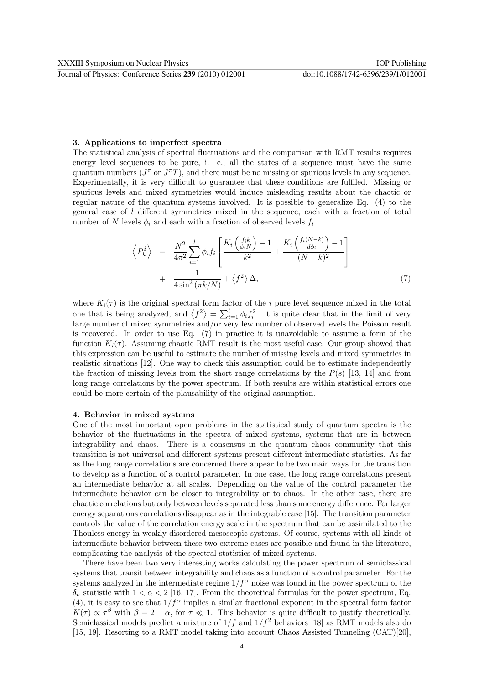## 3. Applications to imperfect spectra

The statistical analysis of spectral fluctuations and the comparison with RMT results requires energy level sequences to be pure, i. e., all the states of a sequence must have the same quantum numbers ( $J^{\pi}$  or  $J^{\pi}T$ ), and there must be no missing or spurious levels in any sequence. Experimentally, it is very difficult to guarantee that these conditions are fulfiled. Missing or spurious levels and mixed symmetries would induce misleading results about the chaotic or regular nature of the quantum systems involved. It is possible to generalize Eq. (4) to the general case of  $l$  different symmetries mixed in the sequence, each with a fraction of total number of N levels  $\phi_i$  and each with a fraction of observed levels  $f_i$ 

$$
\left\langle P_k^{\delta} \right\rangle = \frac{N^2}{4\pi^2} \sum_{i=1}^l \phi_i f_i \left[ \frac{K_i \left( \frac{f_i k}{\phi_i N} \right) - 1}{k^2} + \frac{K_i \left( \frac{f_i (N - k)}{d \phi_i} \right) - 1}{(N - k)^2} \right] + \frac{1}{4 \sin^2 \left( \pi k / N \right)} + \left\langle f^2 \right\rangle \Delta,
$$
\n(7)

where  $K_i(\tau)$  is the original spectral form factor of the *i* pure level sequence mixed in the total one that is being analyzed, and  $\langle f^2 \rangle$ =  $\sum_{i=1}^{l} \phi_i f_i^2$ . It is quite clear that in the limit of very large number of mixed symmetries and/or very few number of observed levels the Poisson result is recovered. In order to use Eq.  $(7)$  in practice it is unavoidable to assume a form of the function  $K_i(\tau)$ . Assuming chaotic RMT result is the most useful case. Our group showed that this expression can be useful to estimate the number of missing levels and mixed symmetries in realistic situations [12]. One way to check this assumption could be to estimate independently the fraction of missing levels from the short range correlations by the  $P(s)$  [13, 14] and from long range correlations by the power spectrum. If both results are within statistical errors one could be more certain of the plausability of the original assumption.

### 4. Behavior in mixed systems

One of the most important open problems in the statistical study of quantum spectra is the behavior of the fluctuations in the spectra of mixed systems, systems that are in between integrability and chaos. There is a consensus in the quantum chaos community that this transition is not universal and different systems present different intermediate statistics. As far as the long range correlations are concerned there appear to be two main ways for the transition to develop as a function of a control parameter. In one case, the long range correlations present an intermediate behavior at all scales. Depending on the value of the control parameter the intermediate behavior can be closer to integrability or to chaos. In the other case, there are chaotic correlations but only between levels separated less than some energy difference. For larger energy separations correlations disappear as in the integrable case [15]. The transition parameter controls the value of the correlation energy scale in the spectrum that can be assimilated to the Thouless energy in weakly disordered mesoscopic systems. Of course, systems with all kinds of intermediate behavior between these two extreme cases are possible and found in the literature, complicating the analysis of the spectral statistics of mixed systems.

There have been two very interesting works calculating the power spectrum of semiclassical systems that transit between integrability and chaos as a function of a control parameter. For the systems analyzed in the intermediate regime  $1/f^{\alpha}$  noise was found in the power spectrum of the  $\delta_n$  statistic with  $1 < \alpha < 2$  [16, 17]. From the theoretical formulas for the power spectrum, Eq. (4), it is easy to see that  $1/f^{\alpha}$  implies a similar fractional exponent in the spectral form factor  $K(\tau) \propto \tau^{\beta}$  with  $\beta = 2 - \alpha$ , for  $\tau \ll 1$ . This behavior is quite difficult to justify theoretically. Semiclassical models predict a mixture of  $1/f$  and  $1/f<sup>2</sup>$  behaviors [18] as RMT models also do [15, 19]. Resorting to a RMT model taking into account Chaos Assisted Tunneling (CAT)[20],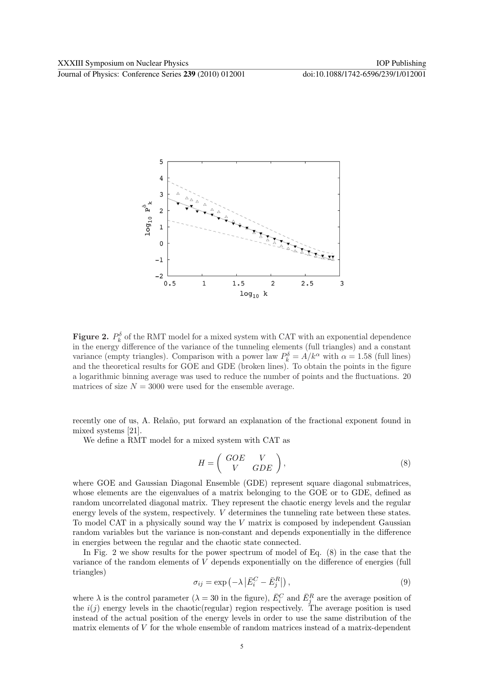Journal of Physics: Conference Series **239** (2010) 012001 doi:10.1088/1742-6596/239/1/012001



**Figure 2.**  $P_k^{\delta}$  of the RMT model for a mixed system with CAT with an exponential dependence in the energy difference of the variance of the tunneling elements (full triangles) and a constant variance (empty triangles). Comparison with a power law  $P_k^{\delta} = A/k^{\alpha}$  with  $\alpha = 1.58$  (full lines) and the theoretical results for GOE and GDE (broken lines). To obtain the points in the figure a logarithmic binning average was used to reduce the number of points and the fluctuations. 20 matrices of size  $N = 3000$  were used for the ensemble average.

recently one of us, A. Relaño, put forward an explanation of the fractional exponent found in mixed systems [21].

We define a RMT model for a mixed system with CAT as

$$
H = \left(\begin{array}{cc} GOE & V \\ V & GDE \end{array}\right),\tag{8}
$$

where GOE and Gaussian Diagonal Ensemble (GDE) represent square diagonal submatrices, whose elements are the eigenvalues of a matrix belonging to the GOE or to GDE, defined as random uncorrelated diagonal matrix. They represent the chaotic energy levels and the regular energy levels of the system, respectively. V determines the tunneling rate between these states. To model CAT in a physically sound way the V matrix is composed by independent Gaussian random variables but the variance is non-constant and depends exponentially in the difference in energies between the regular and the chaotic state connected.

In Fig. 2 we show results for the power spectrum of model of Eq. (8) in the case that the variance of the random elements of V depends exponentially on the difference of energies (full triangles)  $\overline{a}$  $\overline{a}$ ¢

$$
\sigma_{ij} = \exp\left(-\lambda \left|\bar{E}_i^C - \bar{E}_j^R\right|\right),\tag{9}
$$

where  $\lambda$  is the control parameter  $(\lambda = 30 \text{ in the figure})$ ,  $\bar{E}_i^C$  and  $\bar{E}_j^R$  are the average position of the  $i(j)$  energy levels in the chaotic(regular) region respectively. The average position is used instead of the actual position of the energy levels in order to use the same distribution of the matrix elements of  $V$  for the whole ensemble of random matrices instead of a matrix-dependent